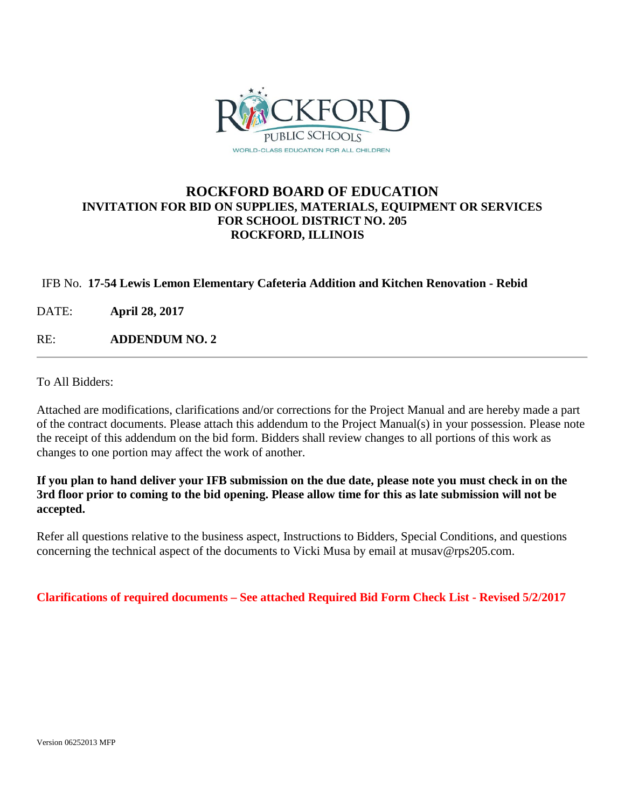

### **ROCKFORD BOARD OF EDUCATION INVITATION FOR BID ON SUPPLIES, MATERIALS, EQUIPMENT OR SERVICES FOR SCHOOL DISTRICT NO. 205 ROCKFORD, ILLINOIS**

#### IFB No. **17-54 Lewis Lemon Elementary Cafeteria Addition and Kitchen Renovation - Rebid**

DATE: **April 28, 2017**

RE: **ADDENDUM NO. 2**

To All Bidders:

Attached are modifications, clarifications and/or corrections for the Project Manual and are hereby made a part of the contract documents. Please attach this addendum to the Project Manual(s) in your possession. Please note the receipt of this addendum on the bid form. Bidders shall review changes to all portions of this work as changes to one portion may affect the work of another.

**If you plan to hand deliver your IFB submission on the due date, please note you must check in on the 3rd floor prior to coming to the bid opening. Please allow time for this as late submission will not be accepted.**

Refer all questions relative to the business aspect, Instructions to Bidders, Special Conditions, and questions concerning the technical aspect of the documents to Vicki Musa by email at musav@rps205.com.

**Clarifications of required documents – See attached Required Bid Form Check List - Revised 5/2/2017**